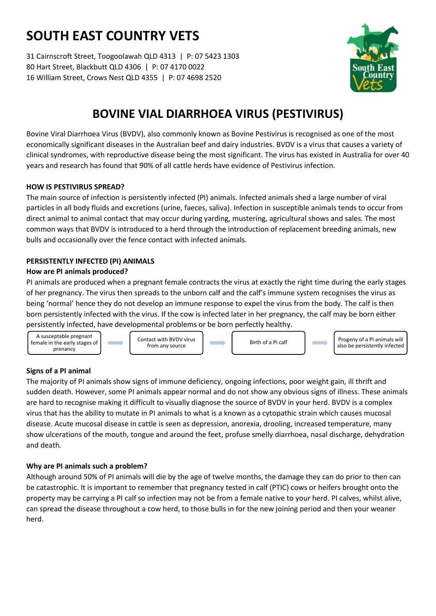# **SOUTH EAST COUNTRY VETS**

31 Cairnscroft Street, Toogoolawah QLD 4313 | P: 07 5423 1303 80 Hart Street, Blackbutt QLD 4306 | P: 07 4170 0022 16 William Street, Crows Nest QLD 4355 | P: 07 4698 2520



## **BOVINE VIAL DIARRHOEA VIRUS (PESTIVIRUS)**

Bovine Viral Diarrhoea Virus (BVDV), also commonly known as Bovine Pestivirus is recognised as one of the most economically significant diseases in the Australian beef and dairy industries. BVDV is a virus that causes a variety of clinical syndromes, with reproductive disease being the most significant. The virus has existed in Australia for over 40 years and research has found that 90% of all cattle herds have evidence of Pestivirus infection.

## **HOW IS PESTIVIRUS SPREAD?**

The main source of infection is persistently infected (PI) animals. Infected animals shed a large number of viral particles in all body fluids and excretions (urine, faeces, saliva). Infection in susceptible animals tends to occur from direct animal to animal contact that may occur during yarding, mustering, agricultural shows and sales. The most common ways that BVDV is introduced to a herd through the introduction of replacement breeding animals, new bulls and occasionally over the fence contact with infected animals.

## **PERSISTENTLY INFECTED (PI) ANIMALS**

## **How are PI animals produced?**

PI animals are produced when a pregnant female contracts the virus at exactly the right time during the early stages of her pregnancy. The virus then spreads to the unborn calf and the calf's immune system recognises the virus as being 'normal' hence they do not develop an immune response to expel the virus from the body. The calf is then born persistently infected with the virus. If the cow is infected later in her pregnancy, the calf may be born either persistently infected, have developmental problems or be born perfectly healthy.



## **Signs of a PI animal**

The majority of PI animals show signs of immune deficiency, ongoing infections, poor weight gain, ill thrift and sudden death. However, some PI animals appear normal and do not show any obvious signs of illness. These animals are hard to recognise making it difficult to visually diagnose the source of BVDV in your herd. BVDV is a complex virus that has the ability to mutate in PI animals to what is a known as a cytopathic strain which causes mucosal disease. Acute mucosal disease in cattle is seen as depression, anorexia, drooling, increased temperature, many show ulcerations of the mouth, tongue and around the feet, profuse smelly diarrhoea, nasal discharge, dehydration and death.

## **Why are PI animals such a problem?**

Although around 50% of PI animals will die by the age of twelve months, the damage they can do prior to then can be catastrophic. It is important to remember that pregnancy tested in calf (PTIC) cows or heifers brought onto the property may be carrying a PI calf so infection may not be from a female native to your herd. PI calves, whilst alive, can spread the disease throughout a cow herd, to those bulls in for the new joining period and then your weaner herd.